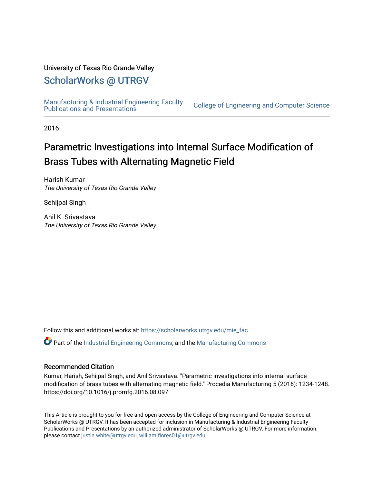### University of Texas Rio Grande Valley

# [ScholarWorks @ UTRGV](https://scholarworks.utrgv.edu/)

[Manufacturing & Industrial Engineering Faculty](https://scholarworks.utrgv.edu/mie_fac) 

**College of Engineering and Computer Science** 

2016

# Parametric Investigations into Internal Surface Modification of Brass Tubes with Alternating Magnetic Field

Harish Kumar The University of Texas Rio Grande Valley

Sehijpal Singh

Anil K. Srivastava The University of Texas Rio Grande Valley

Follow this and additional works at: [https://scholarworks.utrgv.edu/mie\\_fac](https://scholarworks.utrgv.edu/mie_fac?utm_source=scholarworks.utrgv.edu%2Fmie_fac%2F28&utm_medium=PDF&utm_campaign=PDFCoverPages) 

Part of the [Industrial Engineering Commons](http://network.bepress.com/hgg/discipline/307?utm_source=scholarworks.utrgv.edu%2Fmie_fac%2F28&utm_medium=PDF&utm_campaign=PDFCoverPages), and the [Manufacturing Commons](http://network.bepress.com/hgg/discipline/301?utm_source=scholarworks.utrgv.edu%2Fmie_fac%2F28&utm_medium=PDF&utm_campaign=PDFCoverPages) 

#### Recommended Citation

Kumar, Harish, Sehijpal Singh, and Anil Srivastava. "Parametric investigations into internal surface modification of brass tubes with alternating magnetic field." Procedia Manufacturing 5 (2016): 1234-1248. https://doi.org/10.1016/j.promfg.2016.08.097

This Article is brought to you for free and open access by the College of Engineering and Computer Science at ScholarWorks @ UTRGV. It has been accepted for inclusion in Manufacturing & Industrial Engineering Faculty Publications and Presentations by an authorized administrator of ScholarWorks @ UTRGV. For more information, please contact [justin.white@utrgv.edu, william.flores01@utrgv.edu](mailto:justin.white@utrgv.edu,%20william.flores01@utrgv.edu).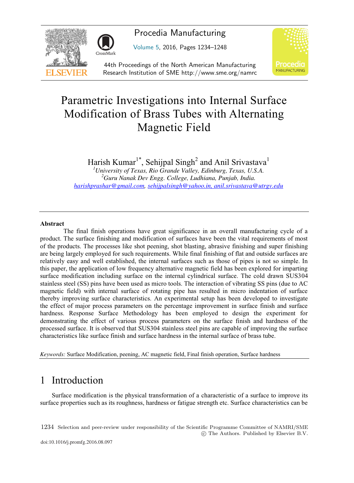

Procedia Manufacturing

Volume 5, 2016, Pages 1234–1248



44th Proceedings of the North American Manufacturing Research Institution of SME http://www.sme.org/namrc

# Parametric Investigations into Internal Surface Modification of Brass Tubes with Alternating Magnetic Field

Harish Kumar<sup>1\*</sup>, Sehijpal Singh<sup>2</sup> and Anil Srivastava<sup>1</sup>

*1 University of Texas, Rio Grande Valley, Edinburg, Texas, U.S.A. <sup>2</sup> Guru Nanak Dev Engg. College, Ludhiana, Punjab, India. harishprashar@gmail.com, sehijpalsingh@yahoo.in, anil.srivastava@utrgv.edu* 

#### **Abstract**

The final finish operations have great significance in an overall manufacturing cycle of a product. The surface finishing and modification of surfaces have been the vital requirements of most of the products. The processes like shot peening, shot blasting, abrasive finishing and super finishing are being largely employed for such requirements. While final finishing of flat and outside surfaces are relatively easy and well established, the internal surfaces such as those of pipes is not so simple. In this paper, the application of low frequency alternative magnetic field has been explored for imparting surface modification including surface on the internal cylindrical surface. The cold drawn SUS304 stainless steel (SS) pins have been used as micro tools. The interaction of vibrating SS pins (due to AC magnetic field) with internal surface of rotating pipe has resulted in micro indentation of surface thereby improving surface characteristics. An experimental setup has been developed to investigate the effect of major process parameters on the percentage improvement in surface finish and surface hardness. Response Surface Methodology has been employed to design the experiment for demonstrating the effect of various process parameters on the surface finish and hardness of the processed surface. It is observed that SUS304 stainless steel pins are capable of improving the surface characteristics like surface finish and surface hardness in the internal surface of brass tube.

*Keywords:* Surface Modification, peening, AC magnetic field, Final finish operation, Surface hardness

# 1 Introduction

Surface modification is the physical transformation of a characteristic of a surface to improve its surface properties such as its roughness, hardness or fatigue strength etc. Surface characteristics can be

1234 Selection and peer-review under responsibility of the Scientific Programme Committee of NAMRI/SME -c The Authors. Published by Elsevier B.V.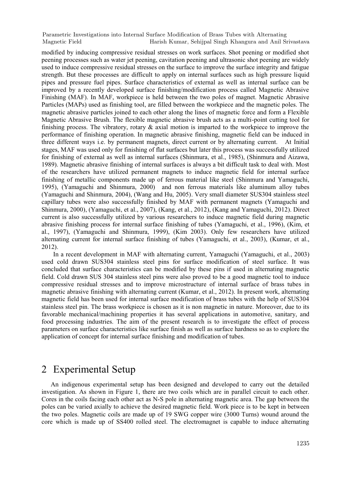modified by inducing compressive residual stresses on work surfaces. Shot peening or modified shot peening processes such as water jet peening, cavitation peening and ultrasonic shot peening are widely used to induce compressive residual stresses on the surface to improve the surface integrity and fatigue strength. But these processes are difficult to apply on internal surfaces such as high pressure liquid pipes and pressure fuel pipes. Surface characteristics of external as well as internal surface can be improved by a recently developed surface finishing/modification process called Magnetic Abrasive Finishing (MAF). In MAF, workpiece is held between the two poles of magnet. Magnetic Abrasive Particles (MAPs) used as finishing tool, are filled between the workpiece and the magnetic poles. The magnetic abrasive particles joined to each other along the lines of magnetic force and form a Flexible Magnetic Abrasive Brush. The flexible magnetic abrasive brush acts as a multi-point cutting tool for finishing process. The vibratory, rotary  $\&$  axial motion is imparted to the workpiece to improve the performance of finishing operation. In magnetic abrasive finishing, magnetic field can be induced in three different ways i.e. by permanent magnets, direct current or by alternating current. At Initial stages, MAF was used only for finishing of flat surfaces but later this process was successfully utilized for finishing of external as well as internal surfaces (Shinmura, et al., 1985), (Shinmura and Aizawa, 1989). Magnetic abrasive finishing of internal surfaces is always a bit difficult task to deal with. Most of the researchers have utilized permanent magnets to induce magnetic field for internal surface finishing of metallic components made up of ferrous material like steel (Shinmura and Yamaguchi, 1995), (Yamaguchi and Shinmura, 2000) and non ferrous materials like aluminum alloy tubes (Yamaguchi and Shinmura, 2004), (Wang and Hu, 2005). Very small diameter SUS304 stainless steel capillary tubes were also successfully finished by MAF with permanent magnets (Yamaguchi and Shinmura, 2000), (Yamaguchi, et al., 2007), (Kang, et al., 2012), (Kang and Yamaguchi, 2012). Direct current is also successfully utilized by various researchers to induce magnetic field during magnetic abrasive finishing process for internal surface finishing of tubes (Yamaguchi, et al., 1996), (Kim, et al., 1997), (Yamaguchi and Shinmura, 1999), (Kim 2003). Only few researchers have utilized alternating current for internal surface finishing of tubes (Yamaguchi, et al., 2003), (Kumar, et al., 2012).

In a recent development in MAF with alternating current, Yamaguchi (Yamaguchi, et al., 2003) used cold drawn SUS304 stainless steel pins for surface modification of steel surface. It was concluded that surface characteristics can be modified by these pins if used in alternating magnetic field. Cold drawn SUS 304 stainless steel pins were also proved to be a good magnetic tool to induce compressive residual stresses and to improve microstructure of internal surface of brass tubes in magnetic abrasive finishing with alternating current (Kumar, et al., 2012). In present work, alternating magnetic field has been used for internal surface modification of brass tubes with the help of SUS304 stainless steel pin. The brass workpiece is chosen as it is non magnetic in nature. Moreover, due to its favorable mechanical/machining properties it has several applications in automotive, sanitary, and food processing industries. The aim of the present research is to investigate the effect of process parameters on surface characteristics like surface finish as well as surface hardness so as to explore the application of concept for internal surface finishing and modification of tubes.

## 2 Experimental Setup

An indigenous experimental setup has been designed and developed to carry out the detailed investigation. As shown in Figure 1, there are two coils which are in parallel circuit to each other. Cores in the coils facing each other act as N-S pole in alternating magnetic area. The gap between the poles can be varied axially to achieve the desired magnetic field. Work piece is to be kept in between the two poles. Magnetic coils are made up of 19 SWG copper wire (3000 Turns) wound around the core which is made up of SS400 rolled steel. The electromagnet is capable to induce alternating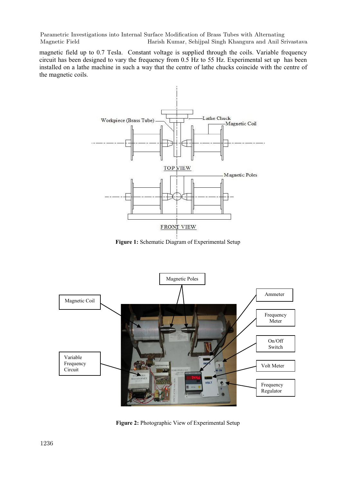magnetic field up to 0.7 Tesla. Constant voltage is supplied through the coils. Variable frequency circuit has been designed to vary the frequency from 0.5 Hz to 55 Hz. Experimental set up has been installed on a lathe machine in such a way that the centre of lathe chucks coincide with the centre of the magnetic coils.



**Figure 1:** Schematic Diagram of Experimental Setup



**Figure 2:** Photographic View of Experimental Setup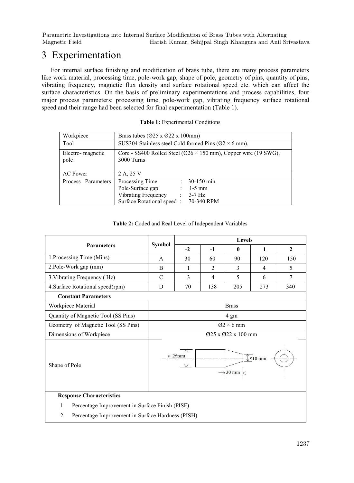# 3 Experimentation

For internal surface finishing and modification of brass tube, there are many process parameters like work material, processing time, pole-work gap, shape of pole, geometry of pins, quantity of pins, vibrating frequency, magnetic flux density and surface rotational speed etc. which can affect the surface characteristics. On the basis of preliminary experimentations and process capabilities, four major process parameters: processing time, pole-work gap, vibrating frequency surface rotational speed and their range had been selected for final experimentation (Table 1).

| Workpiece                | Brass tubes ( $\varnothing$ 25 x $\varnothing$ 22 x 100mm)                                  |  |  |  |  |
|--------------------------|---------------------------------------------------------------------------------------------|--|--|--|--|
| Tool                     | SUS304 Stainless steel Cold formed Pins ( $\varnothing$ 2 × 6 mm).                          |  |  |  |  |
| Electro-magnetic<br>pole | Core - SS400 Rolled Steel ( $\varnothing$ 26 × 150 mm), Copper wire (19 SWG),<br>3000 Turns |  |  |  |  |
| AC Power                 | 2 A. 25 V                                                                                   |  |  |  |  |
| Process Parameters       | Processing Time<br>30-150 min.<br>÷                                                         |  |  |  |  |
|                          | Pole-Surface gap<br>$1-5$ mm                                                                |  |  |  |  |
|                          | <b>Vibrating Frequency</b><br>$3-7$ Hz<br>÷                                                 |  |  |  |  |
|                          | Surface Rotational speed:<br>70-340 RPM                                                     |  |  |  |  |

#### **Table 2:** Coded and Real Level of Independent Variables

|                                                         | Symbol                                                         | <b>Levels</b> |      |              |              |              |
|---------------------------------------------------------|----------------------------------------------------------------|---------------|------|--------------|--------------|--------------|
| <b>Parameters</b>                                       |                                                                | $-2$          | $-1$ | $\mathbf{0}$ | $\mathbf{1}$ | $\mathbf{2}$ |
| 1. Processing Time (Mins)                               | A                                                              | 30            | 60   | 90           | 120          | 150          |
| 2.Pole-Work gap (mm)                                    | B                                                              | 1             | 2.   | 3            | 4            | 5            |
| 3. Vibrating Frequency (Hz)                             | $\mathcal{C}$                                                  | 3             | 4    | 5            | 6            | 7            |
| 4. Surface Rotational speed(rpm)                        | D                                                              | 70            | 138  | 205          | 273          | 340          |
| <b>Constant Parameters</b>                              |                                                                |               |      |              |              |              |
| Workpiece Material                                      | <b>Brass</b>                                                   |               |      |              |              |              |
| Quantity of Magnetic Tool (SS Pins)                     | 4 gm                                                           |               |      |              |              |              |
| $Q2 \times 6$ mm<br>Geometry of Magnetic Tool (SS Pins) |                                                                |               |      |              |              |              |
| Dimensions of Workpiece                                 | 025 x 022 x 100 mm                                             |               |      |              |              |              |
| Shape of Pole                                           | $\varnothing$ 26mm<br>$\int \phi$ 10 mm<br>$\rightarrow$ 30 mm |               |      |              |              |              |
| <b>Response Characteristics</b>                         |                                                                |               |      |              |              |              |
| Percentage Improvement in Surface Finish (PISF)<br>1.   |                                                                |               |      |              |              |              |
| Percentage Improvement in Surface Hardness (PISH)<br>2. |                                                                |               |      |              |              |              |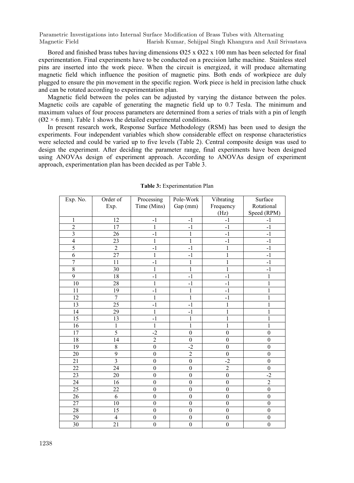Bored and finished brass tubes having dimensions  $\varnothing$ 25 x  $\varnothing$ 22 x 100 mm has been selected for final experimentation. Final experiments have to be conducted on a precision lathe machine. Stainless steel pins are inserted into the work piece. When the circuit is energized, it will produce alternating magnetic field which influence the position of magnetic pins. Both ends of workpiece are duly plugged to ensure the pin movement in the specific region. Work piece is held in precision lathe chuck and can be rotated according to experimentation plan.

Magnetic field between the poles can be adjusted by varying the distance between the poles. Magnetic coils are capable of generating the magnetic field up to 0.7 Tesla. The minimum and maximum values of four process parameters are determined from a series of trials with a pin of length  $(02 \times 6 \text{ mm})$ . Table 1 shows the detailed experimental conditions.

In present research work, Response Surface Methodology (RSM) has been used to design the experiments. Four independent variables which show considerable effect on response characteristics were selected and could be varied up to five levels (Table 2). Central composite design was used to design the experiment. After deciding the parameter range, final experiments have been designed using ANOVAs design of experiment approach. According to ANOVAs design of experiment approach, experimentation plan has been decided as per Table 3.

| Exp. No.                | Order of       | Processing       | Pole-Work        | Vibrating        | Surface          |
|-------------------------|----------------|------------------|------------------|------------------|------------------|
|                         | Exp.           | Time (Mins)      | Gap (mm)         | Frequency        | Rotational       |
|                         |                |                  |                  | (Hz)             | Speed (RPM)      |
| $\mathbf{1}$            | 12             | $-1$             | $-1$             | $-1$             | $-1$             |
| $\overline{2}$          | 17             | $\mathbf{1}$     | $-1$             | $-1$             | $-1$             |
| $\overline{\mathbf{3}}$ | 26             | $-1$             | $\mathbf{1}$     | $-1$             | $-1$             |
| $\overline{\mathbf{4}}$ | 23             | $\mathbf{1}$     | $\mathbf{1}$     | $-1$             | $-1$             |
| $\overline{5}$          | $\overline{2}$ | $-1$             | $-1$             | 1                | $-1$             |
| 6                       | 27             | 1                | $-1$             | $\mathbf{1}$     | $-1$             |
| $\overline{7}$          | 11             | $-1$             | $\mathbf{1}$     | $\mathbf{1}$     | $-1$             |
| $\,$ $\,$               | 30             | $\mathbf{1}$     | $\,1$            | $\mathbf{1}$     | $-1$             |
| $\overline{9}$          | 18             | $-1$             | $-1$             | $-1$             | 1                |
| 10                      | 28             | $\mathbf{1}$     | $-1$             | $-1$             | 1                |
| 11                      | 19             | $-1$             | $\mathbf{1}$     | $-1$             | 1                |
| 12                      | $\tau$         | $\mathbf{1}$     | $\,1$            | $-1$             | 1                |
| 13                      | 25             | $-1$             | $-1$             | 1                | $\mathbf{1}$     |
| 14                      | 29             | $\mathbf{1}$     | $-1$             | $\mathbf{1}$     | 1                |
| $\overline{15}$         | 13             | $-1$             | $\mathbf{1}$     | $\mathbf{1}$     | 1                |
| $\overline{16}$         | $\overline{1}$ | $\mathbf{1}$     | $\mathbf{1}$     | $\mathbf{1}$     | $\mathbf{1}$     |
| 17                      | 5              | $-2$             | $\mathbf{0}$     | $\boldsymbol{0}$ | $\mathbf{0}$     |
| 18                      | 14             | $\overline{2}$   | $\mathbf{0}$     | $\theta$         | $\theta$         |
| 19                      | $\,$ 8 $\,$    | $\boldsymbol{0}$ | $-2$             | $\boldsymbol{0}$ | $\mathbf{0}$     |
| 20                      | $\overline{9}$ | $\boldsymbol{0}$ | $\overline{2}$   | $\boldsymbol{0}$ | $\boldsymbol{0}$ |
| 21                      | 3              | $\mathbf{0}$     | $\mathbf{0}$     | $-2$             | $\mathbf{0}$     |
| $\overline{22}$         | 24             | $\theta$         | $\Omega$         | $\overline{2}$   | $\theta$         |
| 23                      | 20             | $\mathbf{0}$     | $\mathbf{0}$     | $\boldsymbol{0}$ | $-2$             |
| 24                      | 16             | $\overline{0}$   | $\mathbf{0}$     | $\mathbf{0}$     | $\overline{2}$   |
| 25                      | 22             | $\mathbf{0}$     | $\mathbf{0}$     | $\mathbf{0}$     | $\mathbf{0}$     |
| 26                      | 6              | $\overline{0}$   | $\mathbf{0}$     | $\mathbf{0}$     | $\mathbf{0}$     |
| 27                      | 10             | $\boldsymbol{0}$ | $\boldsymbol{0}$ | $\boldsymbol{0}$ | $\boldsymbol{0}$ |
| 28                      | 15             | $\boldsymbol{0}$ | $\mathbf{0}$     | $\boldsymbol{0}$ | $\mathbf{0}$     |
| 29                      | $\overline{4}$ | $\boldsymbol{0}$ | $\boldsymbol{0}$ | $\boldsymbol{0}$ | $\boldsymbol{0}$ |
| $\overline{30}$         | 21             | $\mathbf{0}$     | $\mathbf{0}$     | $\mathbf{0}$     | $\mathbf{0}$     |

**Table 3:** Experimentation Plan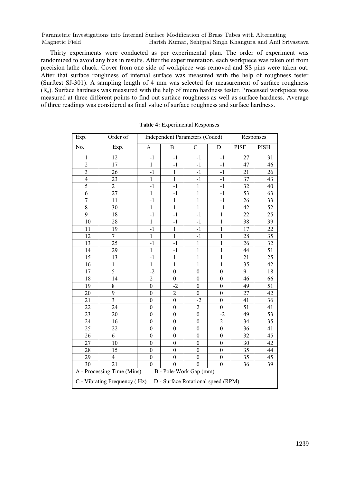Thirty experiments were conducted as per experimental plan. The order of experiment was randomized to avoid any bias in results. After the experimentation, each workpiece was taken out from precision lathe chuck. Cover from one side of workpiece was removed and SS pins were taken out. After that surface roughness of internal surface was measured with the help of roughness tester (Surftest SJ-301). A sampling length of 4 mm was selected for measurement of surface roughness (Ra). Surface hardness was measured with the help of micro hardness tester. Processed workpiece was measured at three different points to find out surface roughness as well as surface hardness. Average of three readings was considered as final value of surface roughness and surface hardness.

| Exp.                                                               | Order of                |                  | <b>Independent Parameters (Coded)</b> | Responses        |                  |                 |                 |
|--------------------------------------------------------------------|-------------------------|------------------|---------------------------------------|------------------|------------------|-----------------|-----------------|
| No.                                                                | Exp.                    | A                | B                                     | $\mathbf C$      | D                | <b>PISF</b>     | PISH            |
| 1                                                                  | 12                      | $-1$             | $-1$                                  | $-1$             | $-1$             | 27              | 31              |
| $\overline{2}$                                                     | 17                      | $\mathbf{1}$     | $-1$                                  | $-1$             | $-1$             | 47              | 46              |
| $\overline{3}$                                                     | 26                      | $-1$             | 1                                     | $-1$             | $-1$             | 21              | 26              |
| 4                                                                  | 23                      | $\mathbf{1}$     | $\mathbf{1}$                          | $-1$             | $-1$             | 37              | 43              |
| $\overline{5}$                                                     | $\overline{2}$          | $-1$             | $-1$                                  | $\mathbf{1}$     | $-1$             | 32              | 40              |
| 6                                                                  | 27                      | $\mathbf{1}$     | $-1$                                  | 1                | $-1$             | 53              | 63              |
| $\sqrt{ }$                                                         | 11                      | $-1$             | $\mathbf{1}$                          | $\mathbf{1}$     | $-1$             | 26              | 33              |
| $\overline{8}$                                                     | $\overline{30}$         | $\mathbf{1}$     | $\overline{1}$                        | $\overline{1}$   | $-1$             | 42              | $\overline{52}$ |
| $\overline{9}$                                                     | 18                      | $-1$             | $-1$                                  | $-1$             | $\mathbf{1}$     | 22              | 25              |
| $10\,$                                                             | 28                      | $\mathbf{1}$     | $-1$                                  | $-1$             | $\mathbf{1}$     | 38              | 39              |
| 11                                                                 | 19                      | $-1$             | $\mathbf{1}$                          | $-1$             | $\,1$            | 17              | 22              |
| 12                                                                 | 7                       | $\mathbf{1}$     | $\mathbf{1}$                          | $-1$             | 1                | 28              | 35              |
| 13                                                                 | 25                      | $-1$             | $-1$                                  | $\mathbf{1}$     | $\mathbf{1}$     | 26              | 32              |
| 14                                                                 | $\overline{29}$         | $\overline{1}$   | $-1$                                  | $\mathbf{1}$     | $\,1$            | 44              | $\overline{51}$ |
| 15                                                                 | 13                      | $-1$             | 1                                     | $\mathbf{1}$     | $\mathbf{1}$     | 21              | 25              |
| $\overline{16}$                                                    | $\mathbf{1}$            | $\overline{1}$   | $\mathbf{1}$                          | $\mathbf{1}$     | $\mathbf{1}$     | $\overline{35}$ | 42              |
| 17                                                                 | 5                       | $-2$             | $\overline{0}$                        | $\overline{0}$   | $\overline{0}$   | 9               | 18              |
| 18                                                                 | $\overline{14}$         | $\overline{2}$   | $\mathbf{0}$                          | $\overline{0}$   | $\overline{0}$   | 46              | 66              |
| 19                                                                 | 8                       | $\boldsymbol{0}$ | $-2$                                  | $\boldsymbol{0}$ | $\boldsymbol{0}$ | 49              | 51              |
| 20                                                                 | 9                       | $\mathbf{0}$     | $\overline{c}$                        | $\boldsymbol{0}$ | $\boldsymbol{0}$ | 27              | 42              |
| 21                                                                 | $\overline{\mathbf{3}}$ | $\boldsymbol{0}$ | $\overline{0}$                        | $-2$             | $\mathbf{0}$     | 41              | 36              |
| 22                                                                 | 24                      | $\mathbf{0}$     | $\mathbf{0}$                          | $\overline{c}$   | $\mathbf{0}$     | $\overline{51}$ | 41              |
| 23                                                                 | 20                      | $\mathbf{0}$     | $\mathbf{0}$                          | $\boldsymbol{0}$ | $-2$             | 49              | 53              |
| 24                                                                 | 16                      | $\mathbf{0}$     | $\mathbf{0}$                          | $\boldsymbol{0}$ | $\overline{c}$   | 34              | 35              |
| 25                                                                 | 22                      | $\mathbf{0}$     | $\mathbf{0}$                          | $\boldsymbol{0}$ | $\boldsymbol{0}$ | 36              | 41              |
| $\overline{26}$                                                    | 6                       | $\mathbf{0}$     | $\overline{0}$                        | $\overline{0}$   | $\overline{0}$   | $\overline{32}$ | $\overline{45}$ |
| 27                                                                 | 10                      | $\theta$         | $\theta$                              | $\theta$         | $\theta$         | 30              | 42              |
| 28                                                                 | 15                      | $\mathbf{0}$     | $\boldsymbol{0}$                      | $\boldsymbol{0}$ | $\boldsymbol{0}$ | 35              | 44              |
| 29                                                                 | $\overline{\mathbf{4}}$ | $\boldsymbol{0}$ | $\mathbf{0}$                          | $\boldsymbol{0}$ | $\boldsymbol{0}$ | 35              | 45              |
| 30                                                                 | 21                      | $\theta$         | $\theta$                              | $\boldsymbol{0}$ | $\mathbf{0}$     | 36              | 39              |
| A - Processing Time (Mins)<br>B - Pole-Work Gap (mm)               |                         |                  |                                       |                  |                  |                 |                 |
| C - Vibrating Frequency (Hz)<br>D - Surface Rotational speed (RPM) |                         |                  |                                       |                  |                  |                 |                 |

**Table 4:** Experimental Responses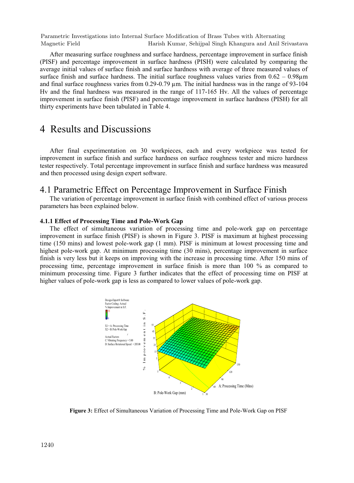After measuring surface roughness and surface hardness, percentage improvement in surface finish (PISF) and percentage improvement in surface hardness (PISH) were calculated by comparing the average initial values of surface finish and surface hardness with average of three measured values of surface finish and surface hardness. The initial surface roughness values varies from  $0.62 - 0.98 \mu m$ and final surface roughness varies from 0.29-0.79 µm. The initial hardness was in the range of 93-104 Hv and the final hardness was measured in the range of 117-165 Hv. All the values of percentage improvement in surface finish (PISF) and percentage improvement in surface hardness (PISH) for all thirty experiments have been tabulated in Table 4.

### 4 Results and Discussions

 After final experimentation on 30 workpieces, each and every workpiece was tested for improvement in surface finish and surface hardness on surface roughness tester and micro hardness tester respectively. Total percentage improvement in surface finish and surface hardness was measured and then processed using design expert software.

#### 4.1 Parametric Effect on Percentage Improvement in Surface Finish

 The variation of percentage improvement in surface finish with combined effect of various process parameters has been explained below.

#### **4.1.1 Effect of Processing Time and Pole-Work Gap**

 The effect of simultaneous variation of processing time and pole-work gap on percentage improvement in surface finish (PISF) is shown in Figure 3. PISF is maximum at highest processing time (150 mins) and lowest pole-work gap (1 mm). PISF is minimum at lowest processing time and highest pole-work gap. At minimum processing time (30 mins), percentage improvement in surface finish is very less but it keeps on improving with the increase in processing time. After 150 mins of processing time, percentage improvement in surface finish is more than 100 % as compared to minimum processing time. Figure 3 further indicates that the effect of processing time on PISF at higher values of pole-work gap is less as compared to lower values of pole-work gap.



**Figure 3:** Effect of Simultaneous Variation of Processing Time and Pole-Work Gap on PISF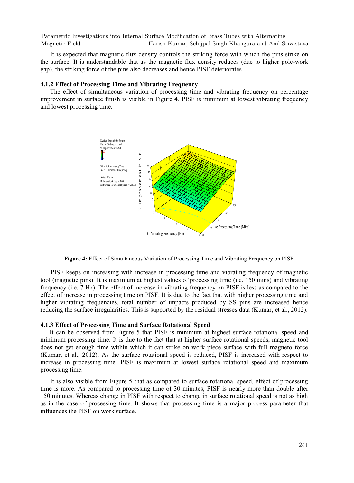It is expected that magnetic flux density controls the striking force with which the pins strike on the surface. It is understandable that as the magnetic flux density reduces (due to higher pole-work gap), the striking force of the pins also decreases and hence PISF deteriorates.

#### **4.1.2 Effect of Processing Time and Vibrating Frequency**

 The effect of simultaneous variation of processing time and vibrating frequency on percentage improvement in surface finish is visible in Figure 4. PISF is minimum at lowest vibrating frequency and lowest processing time.



**Figure 4:** Effect of Simultaneous Variation of Processing Time and Vibrating Frequency on PISF

 PISF keeps on increasing with increase in processing time and vibrating frequency of magnetic tool (magnetic pins). It is maximum at highest values of processing time (i.e. 150 mins) and vibrating frequency (i.e. 7 Hz). The effect of increase in vibrating frequency on PISF is less as compared to the effect of increase in processing time on PISF. It is due to the fact that with higher processing time and higher vibrating frequencies, total number of impacts produced by SS pins are increased hence reducing the surface irregularities. This is supported by the residual stresses data (Kumar, et al., 2012).

#### **4.1.3 Effect of Processing Time and Surface Rotational Speed**

It can be observed from Figure 5 that PISF is minimum at highest surface rotational speed and minimum processing time. It is due to the fact that at higher surface rotational speeds, magnetic tool does not get enough time within which it can strike on work piece surface with full magneto force (Kumar, et al., 2012). As the surface rotational speed is reduced, PISF is increased with respect to increase in processing time. PISF is maximum at lowest surface rotational speed and maximum processing time.

 It is also visible from Figure 5 that as compared to surface rotational speed, effect of processing time is more. As compared to processing time of 30 minutes, PISF is nearly more than double after 150 minutes. Whereas change in PISF with respect to change in surface rotational speed is not as high as in the case of processing time. It shows that processing time is a major process parameter that influences the PISF on work surface.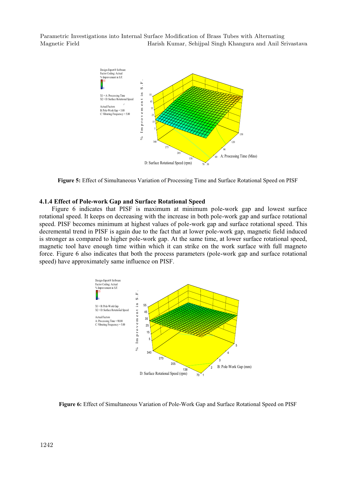

**Figure 5:** Effect of Simultaneous Variation of Processing Time and Surface Rotational Speed on PISF

#### **4.1.4 Effect of Pole-work Gap and Surface Rotational Speed**

 Figure 6 indicates that PISF is maximum at minimum pole-work gap and lowest surface rotational speed. It keeps on decreasing with the increase in both pole-work gap and surface rotational speed. PISF becomes minimum at highest values of pole-work gap and surface rotational speed. This decremental trend in PISF is again due to the fact that at lower pole-work gap, magnetic field induced is stronger as compared to higher pole-work gap. At the same time, at lower surface rotational speed, magnetic tool have enough time within which it can strike on the work surface with full magneto force. Figure 6 also indicates that both the process parameters (pole-work gap and surface rotational speed) have approximately same influence on PISF.



**Figure 6:** Effect of Simultaneous Variation of Pole-Work Gap and Surface Rotational Speed on PISF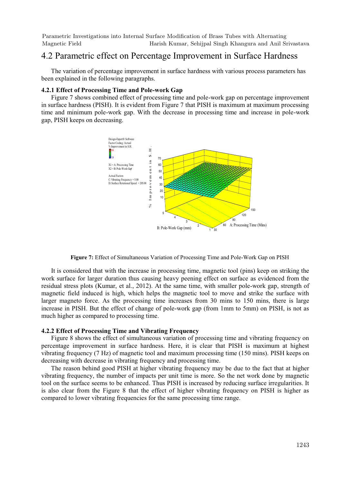### 4.2 Parametric effect on Percentage Improvement in Surface Hardness

 The variation of percentage improvement in surface hardness with various process parameters has been explained in the following paragraphs.

#### **4.2.1 Effect of Processing Time and Pole-work Gap**

 Figure 7 shows combined effect of processing time and pole-work gap on percentage improvement in surface hardness (PISH). It is evident from Figure 7 that PISH is maximum at maximum processing time and minimum pole-work gap. With the decrease in processing time and increase in pole-work gap, PISH keeps on decreasing.



**Figure 7:** Effect of Simultaneous Variation of Processing Time and Pole-Work Gap on PISH

 It is considered that with the increase in processing time, magnetic tool (pins) keep on striking the work surface for larger duration thus causing heavy peening effect on surface as evidenced from the residual stress plots (Kumar, et al., 2012). At the same time, with smaller pole-work gap, strength of magnetic field induced is high, which helps the magnetic tool to move and strike the surface with larger magneto force. As the processing time increases from 30 mins to 150 mins, there is large increase in PISH. But the effect of change of pole-work gap (from 1mm to 5mm) on PISH, is not as much higher as compared to processing time.

#### **4.2.2 Effect of Processing Time and Vibrating Frequency**

 Figure 8 shows the effect of simultaneous variation of processing time and vibrating frequency on percentage improvement in surface hardness. Here, it is clear that PISH is maximum at highest vibrating frequency (7 Hz) of magnetic tool and maximum processing time (150 mins). PISH keeps on decreasing with decrease in vibrating frequency and processing time.

 The reason behind good PISH at higher vibrating frequency may be due to the fact that at higher vibrating frequency, the number of impacts per unit time is more. So the net work done by magnetic tool on the surface seems to be enhanced. Thus PISH is increased by reducing surface irregularities. It is also clear from the Figure 8 that the effect of higher vibrating frequency on PISH is higher as compared to lower vibrating frequencies for the same processing time range.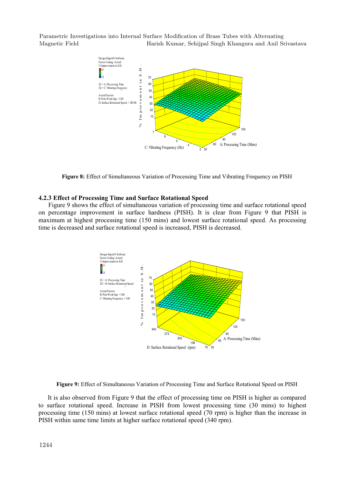

**Figure 8:** Effect of Simultaneous Variation of Processing Time and Vibrating Frequency on PISH

#### **4.2.3 Effect of Processing Time and Surface Rotational Speed**

 Figure 9 shows the effect of simultaneous variation of processing time and surface rotational speed on percentage improvement in surface hardness (PISH). It is clear from Figure 9 that PISH is maximum at highest processing time (150 mins) and lowest surface rotational speed. As processing time is decreased and surface rotational speed is increased, PISH is decreased.





It is also observed from Figure 9 that the effect of processing time on PISH is higher as compared to surface rotational speed. Increase in PISH from lowest processing time (30 mins) to highest processing time (150 mins) at lowest surface rotational speed (70 rpm) is higher than the increase in PISH within same time limits at higher surface rotational speed (340 rpm).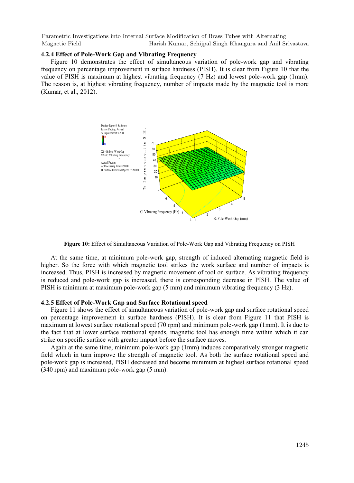#### **4.2.4 Effect of Pole-Work Gap and Vibrating Frequency**

 Figure 10 demonstrates the effect of simultaneous variation of pole-work gap and vibrating frequency on percentage improvement in surface hardness (PISH). It is clear from Figure 10 that the value of PISH is maximum at highest vibrating frequency (7 Hz) and lowest pole-work gap (1mm). The reason is, at highest vibrating frequency, number of impacts made by the magnetic tool is more (Kumar, et al., 2012).





 At the same time, at minimum pole-work gap, strength of induced alternating magnetic field is higher. So the force with which magnetic tool strikes the work surface and number of impacts is increased. Thus, PISH is increased by magnetic movement of tool on surface. As vibrating frequency is reduced and pole-work gap is increased, there is corresponding decrease in PISH. The value of PISH is minimum at maximum pole-work gap (5 mm) and minimum vibrating frequency (3 Hz).

#### **4.2.5 Effect of Pole-Work Gap and Surface Rotational speed**

 Figure 11 shows the effect of simultaneous variation of pole-work gap and surface rotational speed on percentage improvement in surface hardness (PISH). It is clear from Figure 11 that PISH is maximum at lowest surface rotational speed (70 rpm) and minimum pole-work gap (1mm). It is due to the fact that at lower surface rotational speeds, magnetic tool has enough time within which it can strike on specific surface with greater impact before the surface moves.

 Again at the same time, minimum pole-work gap (1mm) induces comparatively stronger magnetic field which in turn improve the strength of magnetic tool. As both the surface rotational speed and pole-work gap is increased, PISH decreased and become minimum at highest surface rotational speed (340 rpm) and maximum pole-work gap (5 mm).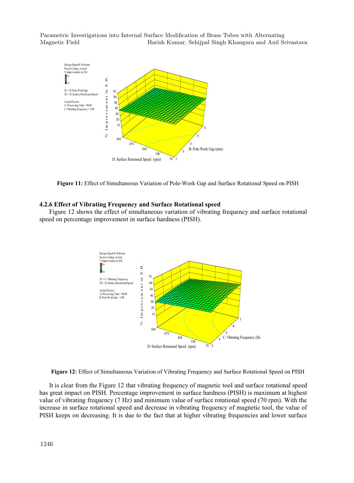

**Figure 11:** Effect of Simultaneous Variation of Pole-Work Gap and Surface Rotational Speed on PISH

#### **4.2.6 Effect of Vibrating Frequency and Surface Rotational speed**

Figure 12 shows the effect of simultaneous variation of vibrating frequency and surface rotational speed on percentage improvement in surface hardness (PISH).



**Figure 12:** Effect of Simultaneous Variation of Vibrating Frequency and Surface Rotational Speed on PISH

 It is clear from the Figure 12 that vibrating frequency of magnetic tool and surface rotational speed has great impact on PISH. Percentage improvement in surface hardness (PISH) is maximum at highest value of vibrating frequency (7 Hz) and minimum value of surface rotational speed (70 rpm). With the increase in surface rotational speed and decrease in vibrating frequency of magnetic tool, the value of PISH keeps on decreasing. It is due to the fact that at higher vibrating frequencies and lower surface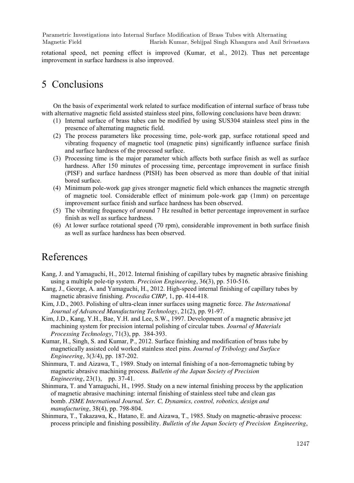rotational speed, net peening effect is improved (Kumar, et al., 2012). Thus net percentage improvement in surface hardness is also improved.

## 5 Conclusions

On the basis of experimental work related to surface modification of internal surface of brass tube with alternative magnetic field assisted stainless steel pins, following conclusions have been drawn:

- (1) Internal surface of brass tubes can be modified by using SUS304 stainless steel pins in the presence of alternating magnetic field.
- (2) The process parameters like processing time, pole-work gap, surface rotational speed and vibrating frequency of magnetic tool (magnetic pins) significantly influence surface finish and surface hardness of the processed surface.
- (3) Processing time is the major parameter which affects both surface finish as well as surface hardness. After 150 minutes of processing time, percentage improvement in surface finish (PISF) and surface hardness (PISH) has been observed as more than double of that initial bored surface.
- (4) Minimum pole-work gap gives stronger magnetic field which enhances the magnetic strength of magnetic tool. Considerable effect of minimum pole-work gap (1mm) on percentage improvement surface finish and surface hardness has been observed.
- (5) The vibrating frequency of around 7 Hz resulted in better percentage improvement in surface finish as well as surface hardness.
- (6) At lower surface rotational speed (70 rpm), considerable improvement in both surface finish as well as surface hardness has been observed.

## References

- Kang, J. and Yamaguchi, H., 2012. Internal finishing of capillary tubes by magnetic abrasive finishing using a multiple pole-tip system. *Precision Engineering*, 36(3), pp. 510-516.
- Kang, J., George, A. and Yamaguchi, H., 2012. High-speed internal finishing of capillary tubes by magnetic abrasive finishing. *Procedia CIRP*, 1, pp. 414-418.
- Kim, J.D., 2003. Polishing of ultra-clean inner surfaces using magnetic force. *The International Journal of Advanced Manufacturing Technology*, 21(2), pp. 91-97.
- Kim, J.D., Kang, Y.H., Bae, Y.H. and Lee, S.W., 1997. Development of a magnetic abrasive jet machining system for precision internal polishing of circular tubes. *Journal of Materials Processing Technology*, 71(3), pp. 384-393.
- Kumar, H., Singh, S. and Kumar, P., 2012. Surface finishing and modification of brass tube by magnetically assisted cold worked stainless steel pins. *Journal of Tribology and Surface Engineering*, 3(3/4), pp. 187-202.
- Shinmura, T. and Aizawa, T., 1989. Study on internal finishing of a non-ferromagnetic tubing by magnetic abrasive machining process. *Bulletin of the Japan Society of Precision Engineering*, 23(1), pp. 37-41.
- Shinmura, T. and Yamaguchi, H., 1995. Study on a new internal finishing process by the application of magnetic abrasive machining: internal finishing of stainless steel tube and clean gas bomb. *JSME International Journal. Ser. C, Dynamics, control, robotics, design and manufacturing*, 38(4), pp. 798-804.
- Shinmura, T., Takazawa, K., Hatano, E. and Aizawa, T., 1985. Study on magnetic-abrasive process: process principle and finishing possibility. *Bulletin of the Japan Society of Precision Engineering*,